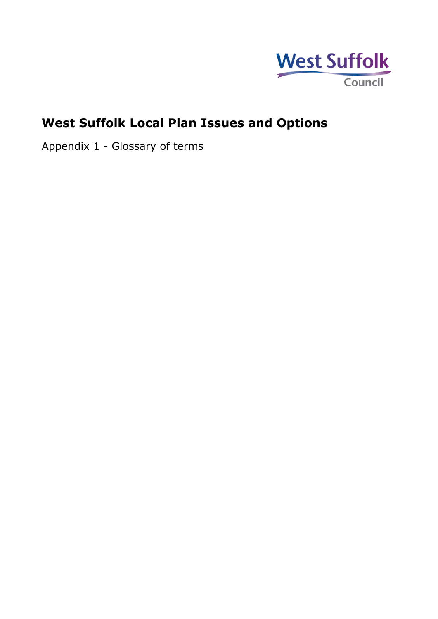

## **West Suffolk Local Plan Issues and Options**

Appendix 1 - Glossary of terms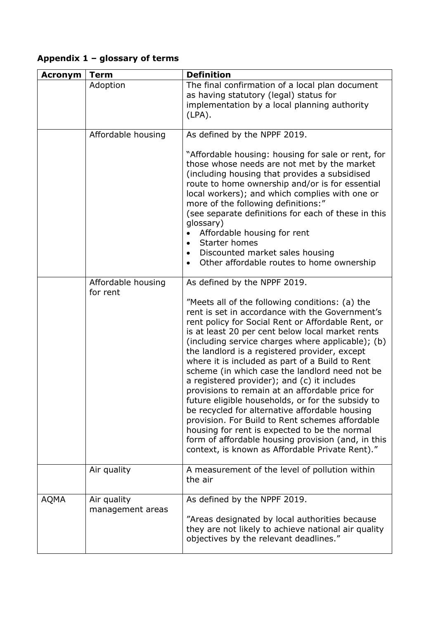## **Appendix 1 – glossary of terms**

| <b>Acronym</b> | <b>Term</b>                     | <b>Definition</b>                                                                                                                                                                                                                                                                                                                                                                                                                                                                                                                                                                                                                                                                                                                                                                                                                                                             |
|----------------|---------------------------------|-------------------------------------------------------------------------------------------------------------------------------------------------------------------------------------------------------------------------------------------------------------------------------------------------------------------------------------------------------------------------------------------------------------------------------------------------------------------------------------------------------------------------------------------------------------------------------------------------------------------------------------------------------------------------------------------------------------------------------------------------------------------------------------------------------------------------------------------------------------------------------|
|                | Adoption                        | The final confirmation of a local plan document<br>as having statutory (legal) status for<br>implementation by a local planning authority<br>$(LPA)$ .                                                                                                                                                                                                                                                                                                                                                                                                                                                                                                                                                                                                                                                                                                                        |
|                | Affordable housing              | As defined by the NPPF 2019.<br>"Affordable housing: housing for sale or rent, for<br>those whose needs are not met by the market<br>(including housing that provides a subsidised<br>route to home ownership and/or is for essential<br>local workers); and which complies with one or<br>more of the following definitions:"<br>(see separate definitions for each of these in this<br>glossary)<br>Affordable housing for rent<br>Starter homes<br>$\bullet$<br>Discounted market sales housing<br>$\bullet$<br>Other affordable routes to home ownership                                                                                                                                                                                                                                                                                                                  |
|                | Affordable housing<br>for rent  | As defined by the NPPF 2019.<br>"Meets all of the following conditions: (a) the<br>rent is set in accordance with the Government's<br>rent policy for Social Rent or Affordable Rent, or<br>is at least 20 per cent below local market rents<br>(including service charges where applicable); (b)<br>the landlord is a registered provider, except<br>where it is included as part of a Build to Rent<br>scheme (in which case the landlord need not be<br>a registered provider); and (c) it includes<br>provisions to remain at an affordable price for<br>future eligible households, or for the subsidy to<br>be recycled for alternative affordable housing<br>provision. For Build to Rent schemes affordable<br>housing for rent is expected to be the normal<br>form of affordable housing provision (and, in this<br>context, is known as Affordable Private Rent)." |
|                | Air quality                     | A measurement of the level of pollution within<br>the air                                                                                                                                                                                                                                                                                                                                                                                                                                                                                                                                                                                                                                                                                                                                                                                                                     |
| <b>AQMA</b>    | Air quality<br>management areas | As defined by the NPPF 2019.<br>"Areas designated by local authorities because<br>they are not likely to achieve national air quality<br>objectives by the relevant deadlines."                                                                                                                                                                                                                                                                                                                                                                                                                                                                                                                                                                                                                                                                                               |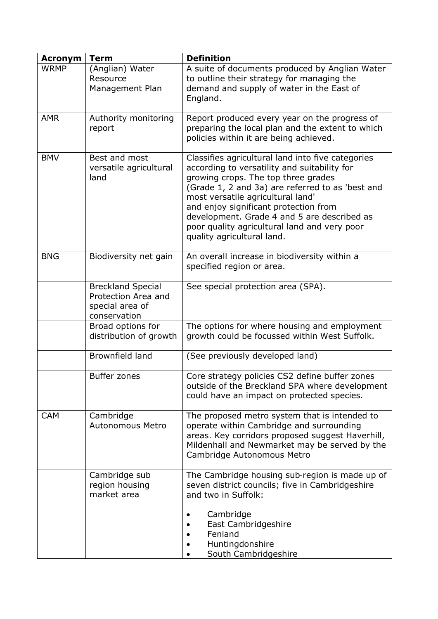| <b>Acronym</b> | <b>Term</b>                                                                        | <b>Definition</b>                                                                                                                                                                                                                                                                                                                                                                                       |
|----------------|------------------------------------------------------------------------------------|---------------------------------------------------------------------------------------------------------------------------------------------------------------------------------------------------------------------------------------------------------------------------------------------------------------------------------------------------------------------------------------------------------|
| <b>WRMP</b>    | (Anglian) Water<br>Resource<br>Management Plan                                     | A suite of documents produced by Anglian Water<br>to outline their strategy for managing the<br>demand and supply of water in the East of<br>England.                                                                                                                                                                                                                                                   |
| <b>AMR</b>     | Authority monitoring<br>report                                                     | Report produced every year on the progress of<br>preparing the local plan and the extent to which<br>policies within it are being achieved.                                                                                                                                                                                                                                                             |
| <b>BMV</b>     | Best and most<br>versatile agricultural<br>land                                    | Classifies agricultural land into five categories<br>according to versatility and suitability for<br>growing crops. The top three grades<br>(Grade 1, 2 and 3a) are referred to as 'best and<br>most versatile agricultural land'<br>and enjoy significant protection from<br>development. Grade 4 and 5 are described as<br>poor quality agricultural land and very poor<br>quality agricultural land. |
| <b>BNG</b>     | Biodiversity net gain                                                              | An overall increase in biodiversity within a<br>specified region or area.                                                                                                                                                                                                                                                                                                                               |
|                | <b>Breckland Special</b><br>Protection Area and<br>special area of<br>conservation | See special protection area (SPA).                                                                                                                                                                                                                                                                                                                                                                      |
|                | Broad options for<br>distribution of growth                                        | The options for where housing and employment<br>growth could be focussed within West Suffolk.                                                                                                                                                                                                                                                                                                           |
|                | <b>Brownfield land</b>                                                             | (See previously developed land)                                                                                                                                                                                                                                                                                                                                                                         |
|                | <b>Buffer zones</b>                                                                | Core strategy policies CS2 define buffer zones<br>outside of the Breckland SPA where development<br>could have an impact on protected species.                                                                                                                                                                                                                                                          |
| <b>CAM</b>     | Cambridge<br>Autonomous Metro                                                      | The proposed metro system that is intended to<br>operate within Cambridge and surrounding<br>areas. Key corridors proposed suggest Haverhill,<br>Mildenhall and Newmarket may be served by the<br>Cambridge Autonomous Metro                                                                                                                                                                            |
|                | Cambridge sub<br>region housing<br>market area                                     | The Cambridge housing sub-region is made up of<br>seven district councils; five in Cambridgeshire<br>and two in Suffolk:                                                                                                                                                                                                                                                                                |
|                |                                                                                    | Cambridge<br>East Cambridgeshire<br>Fenland<br>Huntingdonshire<br>South Cambridgeshire                                                                                                                                                                                                                                                                                                                  |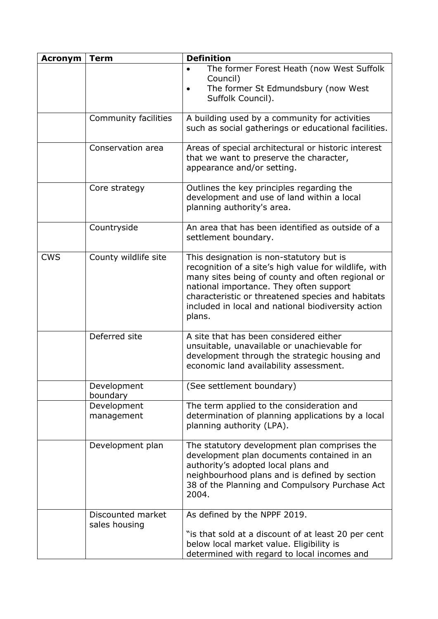| <b>Acronym</b> | <b>Term</b>                        | <b>Definition</b>                                                                                                                                                                                                                                                                                                     |
|----------------|------------------------------------|-----------------------------------------------------------------------------------------------------------------------------------------------------------------------------------------------------------------------------------------------------------------------------------------------------------------------|
|                |                                    | The former Forest Heath (now West Suffolk<br>Council)<br>The former St Edmundsbury (now West<br>Suffolk Council).                                                                                                                                                                                                     |
|                | Community facilities               | A building used by a community for activities<br>such as social gatherings or educational facilities.                                                                                                                                                                                                                 |
|                | Conservation area                  | Areas of special architectural or historic interest<br>that we want to preserve the character,<br>appearance and/or setting.                                                                                                                                                                                          |
|                | Core strategy                      | Outlines the key principles regarding the<br>development and use of land within a local<br>planning authority's area.                                                                                                                                                                                                 |
|                | Countryside                        | An area that has been identified as outside of a<br>settlement boundary.                                                                                                                                                                                                                                              |
| <b>CWS</b>     | County wildlife site               | This designation is non-statutory but is<br>recognition of a site's high value for wildlife, with<br>many sites being of county and often regional or<br>national importance. They often support<br>characteristic or threatened species and habitats<br>included in local and national biodiversity action<br>plans. |
|                | Deferred site                      | A site that has been considered either<br>unsuitable, unavailable or unachievable for<br>development through the strategic housing and<br>economic land availability assessment.                                                                                                                                      |
|                | Development<br>boundary            | (See settlement boundary)                                                                                                                                                                                                                                                                                             |
|                | Development<br>management          | The term applied to the consideration and<br>determination of planning applications by a local<br>planning authority (LPA).                                                                                                                                                                                           |
|                | Development plan                   | The statutory development plan comprises the<br>development plan documents contained in an<br>authority's adopted local plans and<br>neighbourhood plans and is defined by section<br>38 of the Planning and Compulsory Purchase Act<br>2004.                                                                         |
|                | Discounted market<br>sales housing | As defined by the NPPF 2019.<br>"is that sold at a discount of at least 20 per cent<br>below local market value. Eligibility is<br>determined with regard to local incomes and                                                                                                                                        |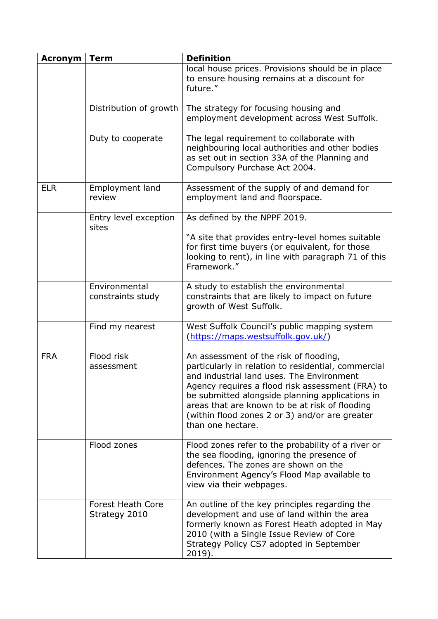| <b>Acronym</b> | <b>Term</b>                               | <b>Definition</b>                                                                                                                                                                                                                                                                                                                                                          |
|----------------|-------------------------------------------|----------------------------------------------------------------------------------------------------------------------------------------------------------------------------------------------------------------------------------------------------------------------------------------------------------------------------------------------------------------------------|
|                |                                           | local house prices. Provisions should be in place<br>to ensure housing remains at a discount for<br>future."                                                                                                                                                                                                                                                               |
|                | Distribution of growth                    | The strategy for focusing housing and<br>employment development across West Suffolk.                                                                                                                                                                                                                                                                                       |
|                | Duty to cooperate                         | The legal requirement to collaborate with<br>neighbouring local authorities and other bodies<br>as set out in section 33A of the Planning and<br>Compulsory Purchase Act 2004.                                                                                                                                                                                             |
| <b>ELR</b>     | Employment land<br>review                 | Assessment of the supply of and demand for<br>employment land and floorspace.                                                                                                                                                                                                                                                                                              |
|                | Entry level exception<br>sites            | As defined by the NPPF 2019.<br>"A site that provides entry-level homes suitable                                                                                                                                                                                                                                                                                           |
|                |                                           | for first time buyers (or equivalent, for those<br>looking to rent), in line with paragraph 71 of this<br>Framework."                                                                                                                                                                                                                                                      |
|                | Environmental<br>constraints study        | A study to establish the environmental<br>constraints that are likely to impact on future<br>growth of West Suffolk.                                                                                                                                                                                                                                                       |
|                | Find my nearest                           | West Suffolk Council's public mapping system<br>(https://maps.westsuffolk.gov.uk/)                                                                                                                                                                                                                                                                                         |
| <b>FRA</b>     | Flood risk<br>assessment                  | An assessment of the risk of flooding,<br>particularly in relation to residential, commercial<br>and industrial land uses. The Environment<br>Agency requires a flood risk assessment (FRA) to<br>be submitted alongside planning applications in<br>areas that are known to be at risk of flooding<br>(within flood zones 2 or 3) and/or are greater<br>than one hectare. |
|                | Flood zones                               | Flood zones refer to the probability of a river or<br>the sea flooding, ignoring the presence of<br>defences. The zones are shown on the<br>Environment Agency's Flood Map available to<br>view via their webpages.                                                                                                                                                        |
|                | <b>Forest Heath Core</b><br>Strategy 2010 | An outline of the key principles regarding the<br>development and use of land within the area<br>formerly known as Forest Heath adopted in May<br>2010 (with a Single Issue Review of Core<br>Strategy Policy CS7 adopted in September<br>2019).                                                                                                                           |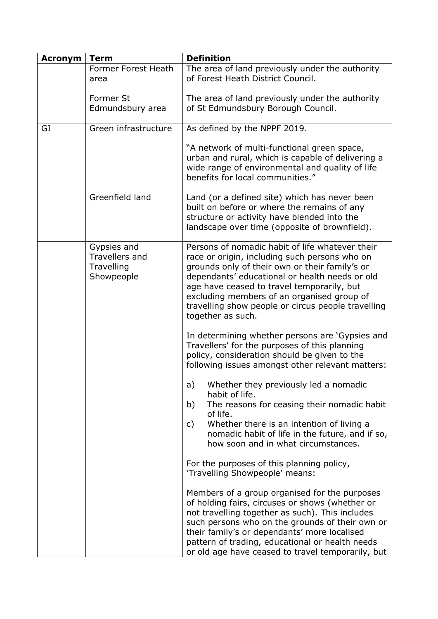| <b>Acronym</b> | <b>Term</b>                                                      | <b>Definition</b>                                                                                                                                                                                                                                                                                                                                                           |
|----------------|------------------------------------------------------------------|-----------------------------------------------------------------------------------------------------------------------------------------------------------------------------------------------------------------------------------------------------------------------------------------------------------------------------------------------------------------------------|
|                | Former Forest Heath                                              | The area of land previously under the authority                                                                                                                                                                                                                                                                                                                             |
|                | area                                                             | of Forest Heath District Council.                                                                                                                                                                                                                                                                                                                                           |
|                | Former St                                                        | The area of land previously under the authority                                                                                                                                                                                                                                                                                                                             |
|                | Edmundsbury area                                                 | of St Edmundsbury Borough Council.                                                                                                                                                                                                                                                                                                                                          |
| GI             | Green infrastructure                                             | As defined by the NPPF 2019.                                                                                                                                                                                                                                                                                                                                                |
|                |                                                                  | "A network of multi-functional green space,<br>urban and rural, which is capable of delivering a<br>wide range of environmental and quality of life<br>benefits for local communities."                                                                                                                                                                                     |
|                | Greenfield land                                                  | Land (or a defined site) which has never been<br>built on before or where the remains of any<br>structure or activity have blended into the<br>landscape over time (opposite of brownfield).                                                                                                                                                                                |
|                | Gypsies and<br><b>Travellers and</b><br>Travelling<br>Showpeople | Persons of nomadic habit of life whatever their<br>race or origin, including such persons who on<br>grounds only of their own or their family's or<br>dependants' educational or health needs or old<br>age have ceased to travel temporarily, but<br>excluding members of an organised group of<br>travelling show people or circus people travelling<br>together as such. |
|                |                                                                  | In determining whether persons are 'Gypsies and<br>Travellers' for the purposes of this planning<br>policy, consideration should be given to the<br>following issues amongst other relevant matters:                                                                                                                                                                        |
|                |                                                                  | Whether they previously led a nomadic<br>a)<br>habit of life.                                                                                                                                                                                                                                                                                                               |
|                |                                                                  | b)<br>The reasons for ceasing their nomadic habit<br>of life.<br>Whether there is an intention of living a<br>C)<br>nomadic habit of life in the future, and if so,<br>how soon and in what circumstances.                                                                                                                                                                  |
|                |                                                                  | For the purposes of this planning policy,<br>'Travelling Showpeople' means:                                                                                                                                                                                                                                                                                                 |
|                |                                                                  | Members of a group organised for the purposes<br>of holding fairs, circuses or shows (whether or<br>not travelling together as such). This includes<br>such persons who on the grounds of their own or<br>their family's or dependants' more localised<br>pattern of trading, educational or health needs<br>or old age have ceased to travel temporarily, but              |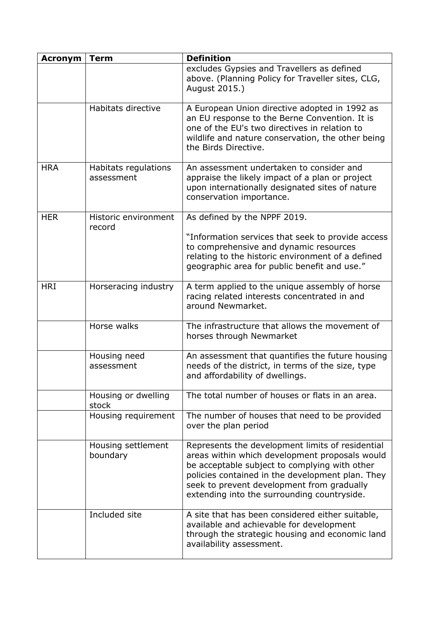| <b>Acronym</b> | <b>Term</b>                        | <b>Definition</b>                                                                                                                                                                                                                                                                                    |
|----------------|------------------------------------|------------------------------------------------------------------------------------------------------------------------------------------------------------------------------------------------------------------------------------------------------------------------------------------------------|
|                |                                    | excludes Gypsies and Travellers as defined<br>above. (Planning Policy for Traveller sites, CLG,<br>August 2015.)                                                                                                                                                                                     |
|                | Habitats directive                 | A European Union directive adopted in 1992 as<br>an EU response to the Berne Convention. It is<br>one of the EU's two directives in relation to<br>wildlife and nature conservation, the other being<br>the Birds Directive.                                                                         |
| <b>HRA</b>     | Habitats regulations<br>assessment | An assessment undertaken to consider and<br>appraise the likely impact of a plan or project<br>upon internationally designated sites of nature<br>conservation importance.                                                                                                                           |
| <b>HER</b>     | Historic environment               | As defined by the NPPF 2019.                                                                                                                                                                                                                                                                         |
|                | record                             | "Information services that seek to provide access"<br>to comprehensive and dynamic resources<br>relating to the historic environment of a defined<br>geographic area for public benefit and use."                                                                                                    |
| <b>HRI</b>     | Horseracing industry               | A term applied to the unique assembly of horse<br>racing related interests concentrated in and<br>around Newmarket.                                                                                                                                                                                  |
|                | Horse walks                        | The infrastructure that allows the movement of<br>horses through Newmarket                                                                                                                                                                                                                           |
|                | Housing need<br>assessment         | An assessment that quantifies the future housing<br>needs of the district, in terms of the size, type<br>and affordability of dwellings.                                                                                                                                                             |
|                | Housing or dwelling<br>stock       | The total number of houses or flats in an area.                                                                                                                                                                                                                                                      |
|                | Housing requirement                | The number of houses that need to be provided<br>over the plan period                                                                                                                                                                                                                                |
|                | Housing settlement<br>boundary     | Represents the development limits of residential<br>areas within which development proposals would<br>be acceptable subject to complying with other<br>policies contained in the development plan. They<br>seek to prevent development from gradually<br>extending into the surrounding countryside. |
|                | Included site                      | A site that has been considered either suitable,<br>available and achievable for development<br>through the strategic housing and economic land<br>availability assessment.                                                                                                                          |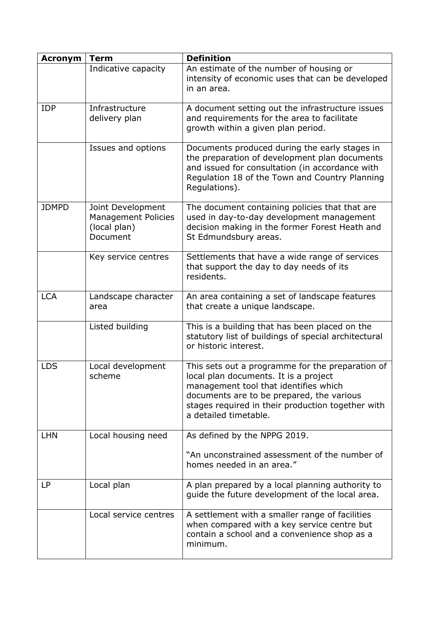| <b>Acronym</b> | <b>Term</b>                                                                 | <b>Definition</b>                                                                                                                                                                                                                                             |
|----------------|-----------------------------------------------------------------------------|---------------------------------------------------------------------------------------------------------------------------------------------------------------------------------------------------------------------------------------------------------------|
|                | Indicative capacity                                                         | An estimate of the number of housing or<br>intensity of economic uses that can be developed<br>in an area.                                                                                                                                                    |
| <b>IDP</b>     | Infrastructure<br>delivery plan                                             | A document setting out the infrastructure issues<br>and requirements for the area to facilitate<br>growth within a given plan period.                                                                                                                         |
|                | Issues and options                                                          | Documents produced during the early stages in<br>the preparation of development plan documents<br>and issued for consultation (in accordance with<br>Regulation 18 of the Town and Country Planning<br>Regulations).                                          |
| <b>JDMPD</b>   | Joint Development<br><b>Management Policies</b><br>(local plan)<br>Document | The document containing policies that that are<br>used in day-to-day development management<br>decision making in the former Forest Heath and<br>St Edmundsbury areas.                                                                                        |
|                | Key service centres                                                         | Settlements that have a wide range of services<br>that support the day to day needs of its<br>residents.                                                                                                                                                      |
| <b>LCA</b>     | Landscape character<br>area                                                 | An area containing a set of landscape features<br>that create a unique landscape.                                                                                                                                                                             |
|                | Listed building                                                             | This is a building that has been placed on the<br>statutory list of buildings of special architectural<br>or historic interest.                                                                                                                               |
| <b>LDS</b>     | Local development<br>scheme                                                 | This sets out a programme for the preparation of<br>local plan documents. It is a project<br>management tool that identifies which<br>documents are to be prepared, the various<br>stages required in their production together with<br>a detailed timetable. |
| <b>LHN</b>     | Local housing need                                                          | As defined by the NPPG 2019.                                                                                                                                                                                                                                  |
|                |                                                                             | "An unconstrained assessment of the number of<br>homes needed in an area."                                                                                                                                                                                    |
| LP             | Local plan                                                                  | A plan prepared by a local planning authority to<br>guide the future development of the local area.                                                                                                                                                           |
|                | Local service centres                                                       | A settlement with a smaller range of facilities<br>when compared with a key service centre but<br>contain a school and a convenience shop as a<br>minimum.                                                                                                    |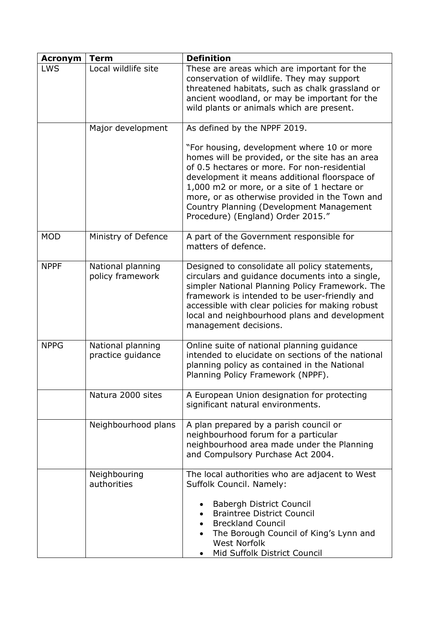| <b>Acronym</b> | <b>Term</b>                            | <b>Definition</b>                                                                                                                                                                                                                                                                                                                                                                |
|----------------|----------------------------------------|----------------------------------------------------------------------------------------------------------------------------------------------------------------------------------------------------------------------------------------------------------------------------------------------------------------------------------------------------------------------------------|
| <b>LWS</b>     | Local wildlife site                    | These are areas which are important for the<br>conservation of wildlife. They may support<br>threatened habitats, such as chalk grassland or<br>ancient woodland, or may be important for the<br>wild plants or animals which are present.                                                                                                                                       |
|                | Major development                      | As defined by the NPPF 2019.                                                                                                                                                                                                                                                                                                                                                     |
|                |                                        | "For housing, development where 10 or more<br>homes will be provided, or the site has an area<br>of 0.5 hectares or more. For non-residential<br>development it means additional floorspace of<br>1,000 m2 or more, or a site of 1 hectare or<br>more, or as otherwise provided in the Town and<br>Country Planning (Development Management<br>Procedure) (England) Order 2015." |
| <b>MOD</b>     | Ministry of Defence                    | A part of the Government responsible for<br>matters of defence.                                                                                                                                                                                                                                                                                                                  |
| <b>NPPF</b>    | National planning<br>policy framework  | Designed to consolidate all policy statements,<br>circulars and quidance documents into a single,<br>simpler National Planning Policy Framework. The<br>framework is intended to be user-friendly and<br>accessible with clear policies for making robust<br>local and neighbourhood plans and development<br>management decisions.                                              |
| <b>NPPG</b>    | National planning<br>practice guidance | Online suite of national planning guidance<br>intended to elucidate on sections of the national<br>planning policy as contained in the National<br>Planning Policy Framework (NPPF).                                                                                                                                                                                             |
|                | Natura 2000 sites                      | A European Union designation for protecting<br>significant natural environments.                                                                                                                                                                                                                                                                                                 |
|                | Neighbourhood plans                    | A plan prepared by a parish council or<br>neighbourhood forum for a particular<br>neighbourhood area made under the Planning<br>and Compulsory Purchase Act 2004.                                                                                                                                                                                                                |
|                | Neighbouring<br>authorities            | The local authorities who are adjacent to West<br>Suffolk Council. Namely:                                                                                                                                                                                                                                                                                                       |
|                |                                        | <b>Babergh District Council</b><br><b>Braintree District Council</b><br><b>Breckland Council</b><br>The Borough Council of King's Lynn and<br><b>West Norfolk</b><br>Mid Suffolk District Council                                                                                                                                                                                |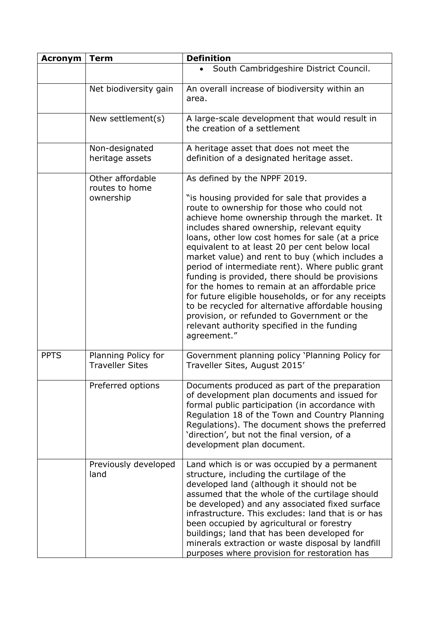| <b>Acronym</b> | <b>Term</b>                                     | <b>Definition</b>                                                                                                                                                                                                                                                                                                                                                                                                                                                                                                                                                                                                                      |
|----------------|-------------------------------------------------|----------------------------------------------------------------------------------------------------------------------------------------------------------------------------------------------------------------------------------------------------------------------------------------------------------------------------------------------------------------------------------------------------------------------------------------------------------------------------------------------------------------------------------------------------------------------------------------------------------------------------------------|
|                |                                                 | South Cambridgeshire District Council.                                                                                                                                                                                                                                                                                                                                                                                                                                                                                                                                                                                                 |
|                | Net biodiversity gain                           | An overall increase of biodiversity within an<br>area.                                                                                                                                                                                                                                                                                                                                                                                                                                                                                                                                                                                 |
|                | New settlement(s)                               | A large-scale development that would result in<br>the creation of a settlement                                                                                                                                                                                                                                                                                                                                                                                                                                                                                                                                                         |
|                | Non-designated<br>heritage assets               | A heritage asset that does not meet the<br>definition of a designated heritage asset.                                                                                                                                                                                                                                                                                                                                                                                                                                                                                                                                                  |
|                | Other affordable<br>routes to home<br>ownership | As defined by the NPPF 2019.<br>"is housing provided for sale that provides a<br>route to ownership for those who could not                                                                                                                                                                                                                                                                                                                                                                                                                                                                                                            |
|                |                                                 | achieve home ownership through the market. It<br>includes shared ownership, relevant equity<br>loans, other low cost homes for sale (at a price<br>equivalent to at least 20 per cent below local<br>market value) and rent to buy (which includes a<br>period of intermediate rent). Where public grant<br>funding is provided, there should be provisions<br>for the homes to remain at an affordable price<br>for future eligible households, or for any receipts<br>to be recycled for alternative affordable housing<br>provision, or refunded to Government or the<br>relevant authority specified in the funding<br>agreement." |
| <b>PPTS</b>    | Planning Policy for<br><b>Traveller Sites</b>   | Government planning policy 'Planning Policy for<br>Traveller Sites, August 2015'                                                                                                                                                                                                                                                                                                                                                                                                                                                                                                                                                       |
|                | Preferred options                               | Documents produced as part of the preparation<br>of development plan documents and issued for<br>formal public participation (in accordance with<br>Regulation 18 of the Town and Country Planning<br>Regulations). The document shows the preferred<br>'direction', but not the final version, of a<br>development plan document.                                                                                                                                                                                                                                                                                                     |
|                | Previously developed<br>land                    | Land which is or was occupied by a permanent<br>structure, including the curtilage of the<br>developed land (although it should not be<br>assumed that the whole of the curtilage should<br>be developed) and any associated fixed surface<br>infrastructure. This excludes: land that is or has<br>been occupied by agricultural or forestry<br>buildings; land that has been developed for<br>minerals extraction or waste disposal by landfill<br>purposes where provision for restoration has                                                                                                                                      |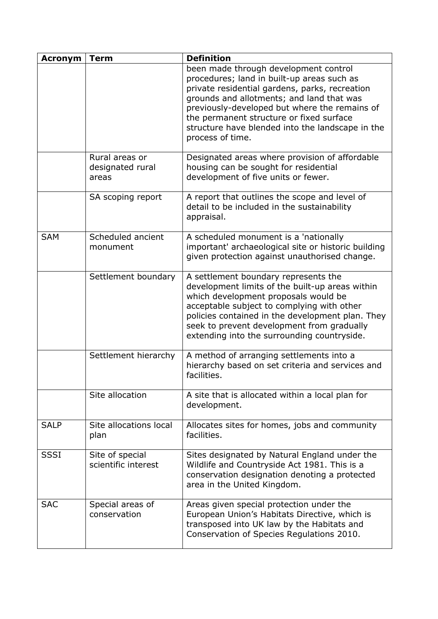| <b>Acronym</b> | <b>Term</b>                                 | <b>Definition</b>                                                                                                                                                                                                                                                                                                                                       |
|----------------|---------------------------------------------|---------------------------------------------------------------------------------------------------------------------------------------------------------------------------------------------------------------------------------------------------------------------------------------------------------------------------------------------------------|
|                |                                             | been made through development control<br>procedures; land in built-up areas such as<br>private residential gardens, parks, recreation<br>grounds and allotments; and land that was<br>previously-developed but where the remains of<br>the permanent structure or fixed surface<br>structure have blended into the landscape in the<br>process of time. |
|                | Rural areas or<br>designated rural<br>areas | Designated areas where provision of affordable<br>housing can be sought for residential<br>development of five units or fewer.                                                                                                                                                                                                                          |
|                | SA scoping report                           | A report that outlines the scope and level of<br>detail to be included in the sustainability<br>appraisal.                                                                                                                                                                                                                                              |
| <b>SAM</b>     | Scheduled ancient<br>monument               | A scheduled monument is a 'nationally<br>important' archaeological site or historic building<br>given protection against unauthorised change.                                                                                                                                                                                                           |
|                | Settlement boundary                         | A settlement boundary represents the<br>development limits of the built-up areas within<br>which development proposals would be<br>acceptable subject to complying with other<br>policies contained in the development plan. They<br>seek to prevent development from gradually<br>extending into the surrounding countryside.                          |
|                | Settlement hierarchy                        | A method of arranging settlements into a<br>hierarchy based on set criteria and services and<br>facilities.                                                                                                                                                                                                                                             |
|                | Site allocation                             | A site that is allocated within a local plan for<br>development.                                                                                                                                                                                                                                                                                        |
| <b>SALP</b>    | Site allocations local<br>plan              | Allocates sites for homes, jobs and community<br>facilities.                                                                                                                                                                                                                                                                                            |
| <b>SSSI</b>    | Site of special<br>scientific interest      | Sites designated by Natural England under the<br>Wildlife and Countryside Act 1981. This is a<br>conservation designation denoting a protected<br>area in the United Kingdom.                                                                                                                                                                           |
| <b>SAC</b>     | Special areas of<br>conservation            | Areas given special protection under the<br>European Union's Habitats Directive, which is<br>transposed into UK law by the Habitats and<br>Conservation of Species Regulations 2010.                                                                                                                                                                    |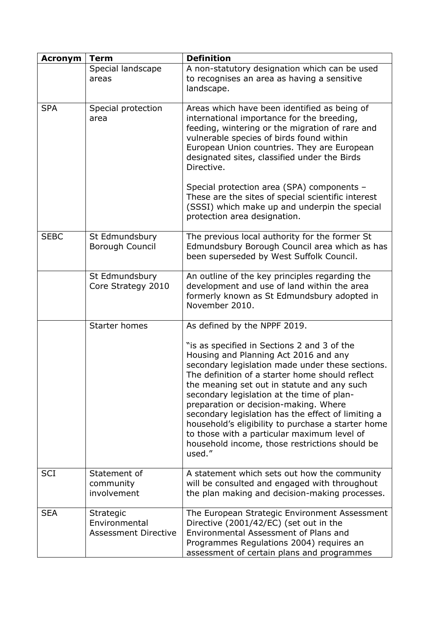| <b>Acronym</b> | <b>Term</b>                                               | <b>Definition</b>                                                                                                                                                                                                                                                                                                                                                                                                                                                                                                                                        |
|----------------|-----------------------------------------------------------|----------------------------------------------------------------------------------------------------------------------------------------------------------------------------------------------------------------------------------------------------------------------------------------------------------------------------------------------------------------------------------------------------------------------------------------------------------------------------------------------------------------------------------------------------------|
|                | Special landscape<br>areas                                | A non-statutory designation which can be used<br>to recognises an area as having a sensitive<br>landscape.                                                                                                                                                                                                                                                                                                                                                                                                                                               |
| <b>SPA</b>     | Special protection<br>area                                | Areas which have been identified as being of<br>international importance for the breeding,<br>feeding, wintering or the migration of rare and<br>vulnerable species of birds found within<br>European Union countries. They are European<br>designated sites, classified under the Birds<br>Directive.                                                                                                                                                                                                                                                   |
|                |                                                           | Special protection area (SPA) components -<br>These are the sites of special scientific interest<br>(SSSI) which make up and underpin the special<br>protection area designation.                                                                                                                                                                                                                                                                                                                                                                        |
| <b>SEBC</b>    | St Edmundsbury<br><b>Borough Council</b>                  | The previous local authority for the former St<br>Edmundsbury Borough Council area which as has<br>been superseded by West Suffolk Council.                                                                                                                                                                                                                                                                                                                                                                                                              |
|                | St Edmundsbury<br>Core Strategy 2010                      | An outline of the key principles regarding the<br>development and use of land within the area<br>formerly known as St Edmundsbury adopted in<br>November 2010.                                                                                                                                                                                                                                                                                                                                                                                           |
|                | <b>Starter homes</b>                                      | As defined by the NPPF 2019.                                                                                                                                                                                                                                                                                                                                                                                                                                                                                                                             |
|                |                                                           | "is as specified in Sections 2 and 3 of the<br>Housing and Planning Act 2016 and any<br>secondary legislation made under these sections.<br>The definition of a starter home should reflect<br>the meaning set out in statute and any such<br>secondary legislation at the time of plan-<br>preparation or decision-making. Where<br>secondary legislation has the effect of limiting a<br>household's eligibility to purchase a starter home<br>to those with a particular maximum level of<br>household income, those restrictions should be<br>used." |
| <b>SCI</b>     | Statement of<br>community<br>involvement                  | A statement which sets out how the community<br>will be consulted and engaged with throughout<br>the plan making and decision-making processes.                                                                                                                                                                                                                                                                                                                                                                                                          |
| <b>SEA</b>     | Strategic<br>Environmental<br><b>Assessment Directive</b> | The European Strategic Environment Assessment<br>Directive (2001/42/EC) (set out in the<br>Environmental Assessment of Plans and<br>Programmes Regulations 2004) requires an<br>assessment of certain plans and programmes                                                                                                                                                                                                                                                                                                                               |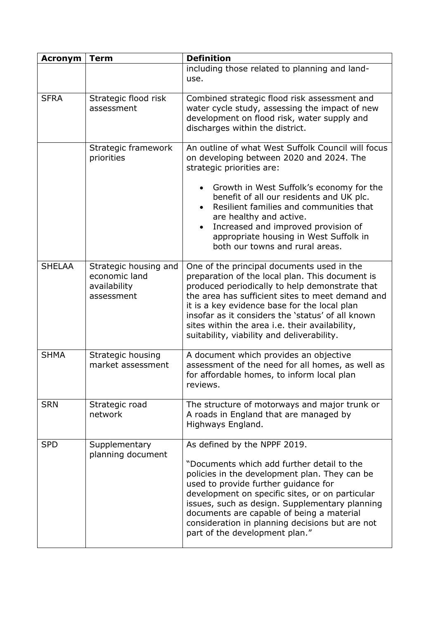| <b>Acronym</b> | <b>Term</b>                                                          | <b>Definition</b>                                                                                                                                                                                                                                                                                                                                                                                          |
|----------------|----------------------------------------------------------------------|------------------------------------------------------------------------------------------------------------------------------------------------------------------------------------------------------------------------------------------------------------------------------------------------------------------------------------------------------------------------------------------------------------|
|                |                                                                      | including those related to planning and land-<br>use.                                                                                                                                                                                                                                                                                                                                                      |
| <b>SFRA</b>    | Strategic flood risk<br>assessment                                   | Combined strategic flood risk assessment and<br>water cycle study, assessing the impact of new<br>development on flood risk, water supply and<br>discharges within the district.                                                                                                                                                                                                                           |
|                | Strategic framework<br>priorities                                    | An outline of what West Suffolk Council will focus<br>on developing between 2020 and 2024. The<br>strategic priorities are:                                                                                                                                                                                                                                                                                |
|                |                                                                      | Growth in West Suffolk's economy for the<br>$\bullet$<br>benefit of all our residents and UK plc.<br>Resilient families and communities that<br>are healthy and active.<br>Increased and improved provision of<br>$\bullet$<br>appropriate housing in West Suffolk in<br>both our towns and rural areas.                                                                                                   |
| <b>SHELAA</b>  | Strategic housing and<br>economic land<br>availability<br>assessment | One of the principal documents used in the<br>preparation of the local plan. This document is<br>produced periodically to help demonstrate that<br>the area has sufficient sites to meet demand and<br>it is a key evidence base for the local plan<br>insofar as it considers the 'status' of all known<br>sites within the area i.e. their availability,<br>suitability, viability and deliverability.   |
| <b>SHMA</b>    | Strategic housing<br>market assessment                               | A document which provides an objective<br>assessment of the need for all homes, as well as<br>for affordable homes, to inform local plan<br>reviews.                                                                                                                                                                                                                                                       |
| <b>SRN</b>     | Strategic road<br>network                                            | The structure of motorways and major trunk or<br>A roads in England that are managed by<br>Highways England.                                                                                                                                                                                                                                                                                               |
| <b>SPD</b>     | Supplementary<br>planning document                                   | As defined by the NPPF 2019.<br>"Documents which add further detail to the<br>policies in the development plan. They can be<br>used to provide further guidance for<br>development on specific sites, or on particular<br>issues, such as design. Supplementary planning<br>documents are capable of being a material<br>consideration in planning decisions but are not<br>part of the development plan." |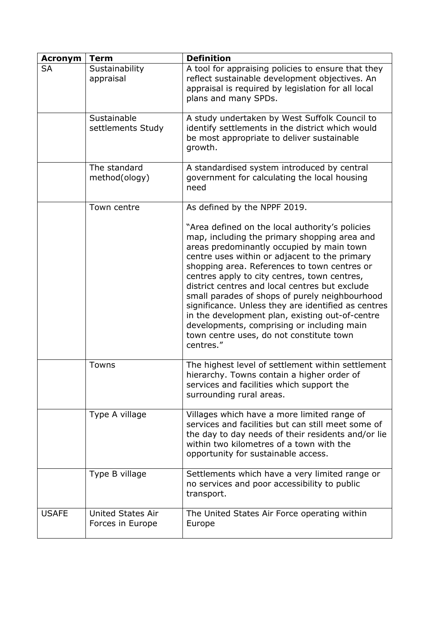| <b>Acronym</b> | <b>Term</b>                                  | <b>Definition</b>                                                                                                                                                                                                                                                                                                                                                                                                                                                                                                                                                                                                  |
|----------------|----------------------------------------------|--------------------------------------------------------------------------------------------------------------------------------------------------------------------------------------------------------------------------------------------------------------------------------------------------------------------------------------------------------------------------------------------------------------------------------------------------------------------------------------------------------------------------------------------------------------------------------------------------------------------|
| <b>SA</b>      | Sustainability<br>appraisal                  | A tool for appraising policies to ensure that they<br>reflect sustainable development objectives. An<br>appraisal is required by legislation for all local<br>plans and many SPDs.                                                                                                                                                                                                                                                                                                                                                                                                                                 |
|                | Sustainable<br>settlements Study             | A study undertaken by West Suffolk Council to<br>identify settlements in the district which would<br>be most appropriate to deliver sustainable<br>growth.                                                                                                                                                                                                                                                                                                                                                                                                                                                         |
|                | The standard<br>method(ology)                | A standardised system introduced by central<br>government for calculating the local housing<br>need                                                                                                                                                                                                                                                                                                                                                                                                                                                                                                                |
|                | Town centre                                  | As defined by the NPPF 2019.                                                                                                                                                                                                                                                                                                                                                                                                                                                                                                                                                                                       |
|                |                                              | "Area defined on the local authority's policies<br>map, including the primary shopping area and<br>areas predominantly occupied by main town<br>centre uses within or adjacent to the primary<br>shopping area. References to town centres or<br>centres apply to city centres, town centres,<br>district centres and local centres but exclude<br>small parades of shops of purely neighbourhood<br>significance. Unless they are identified as centres<br>in the development plan, existing out-of-centre<br>developments, comprising or including main<br>town centre uses, do not constitute town<br>centres." |
|                | <b>Towns</b>                                 | The highest level of settlement within settlement<br>hierarchy. Towns contain a higher order of<br>services and facilities which support the<br>surrounding rural areas.                                                                                                                                                                                                                                                                                                                                                                                                                                           |
|                | Type A village                               | Villages which have a more limited range of<br>services and facilities but can still meet some of<br>the day to day needs of their residents and/or lie<br>within two kilometres of a town with the<br>opportunity for sustainable access.                                                                                                                                                                                                                                                                                                                                                                         |
|                | Type B village                               | Settlements which have a very limited range or<br>no services and poor accessibility to public<br>transport.                                                                                                                                                                                                                                                                                                                                                                                                                                                                                                       |
| <b>USAFE</b>   | <b>United States Air</b><br>Forces in Europe | The United States Air Force operating within<br>Europe                                                                                                                                                                                                                                                                                                                                                                                                                                                                                                                                                             |